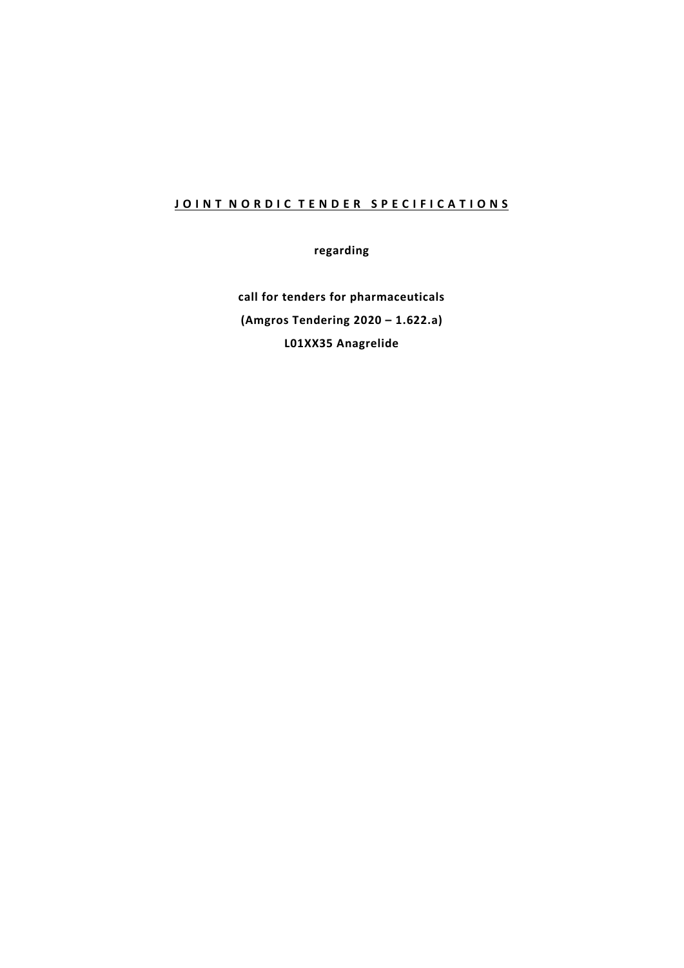# **JOINT NORDIC TENDER SPECIFICATIONS**

**regarding**

**call for tenders for pharmaceuticals (Amgros Tendering 2020 – 1.622.a) L01XX35 Anagrelide**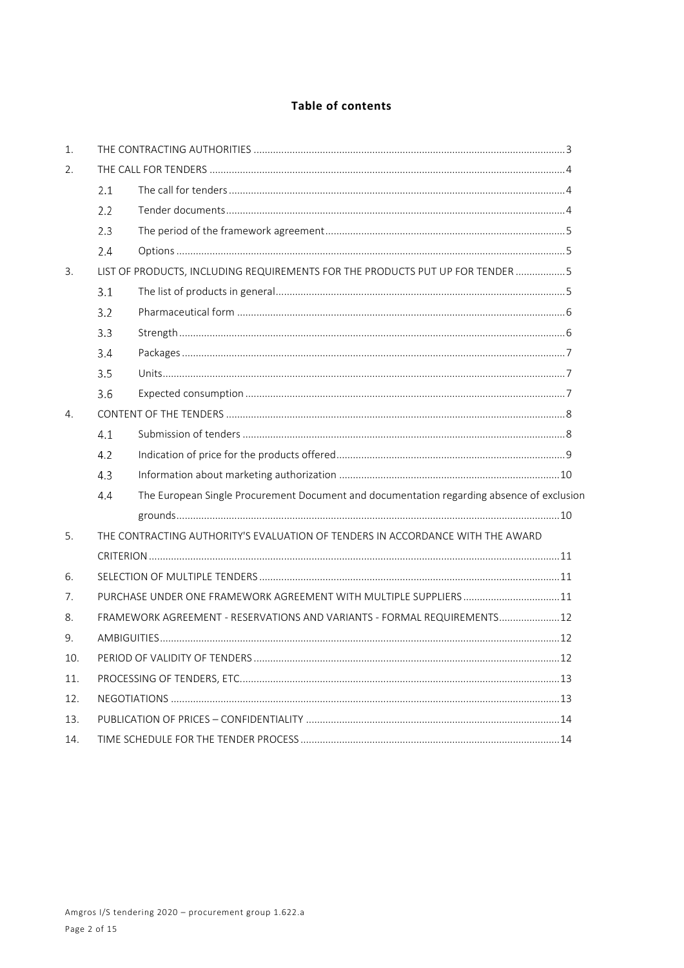# Table of contents

| 1.  |                                                                                                  |                                                                          |  |
|-----|--------------------------------------------------------------------------------------------------|--------------------------------------------------------------------------|--|
| 2.  |                                                                                                  |                                                                          |  |
|     | 2.1                                                                                              |                                                                          |  |
|     | 2.2                                                                                              |                                                                          |  |
|     | 2.3                                                                                              |                                                                          |  |
|     | 2.4                                                                                              |                                                                          |  |
| 3.  | LIST OF PRODUCTS, INCLUDING REQUIREMENTS FOR THE PRODUCTS PUT UP FOR TENDER 5                    |                                                                          |  |
|     | 3.1                                                                                              |                                                                          |  |
|     | 3.2                                                                                              |                                                                          |  |
|     | 3.3                                                                                              |                                                                          |  |
|     | 3.4                                                                                              |                                                                          |  |
|     | 3.5                                                                                              |                                                                          |  |
|     | 3.6                                                                                              |                                                                          |  |
| 4.  |                                                                                                  |                                                                          |  |
|     | 4.1                                                                                              |                                                                          |  |
|     | 4.2                                                                                              |                                                                          |  |
|     | 4.3                                                                                              |                                                                          |  |
|     | The European Single Procurement Document and documentation regarding absence of exclusion<br>4.4 |                                                                          |  |
|     |                                                                                                  |                                                                          |  |
| 5.  | THE CONTRACTING AUTHORITY'S EVALUATION OF TENDERS IN ACCORDANCE WITH THE AWARD                   |                                                                          |  |
|     |                                                                                                  |                                                                          |  |
| 6.  |                                                                                                  |                                                                          |  |
| 7.  |                                                                                                  | PURCHASE UNDER ONE FRAMEWORK AGREEMENT WITH MULTIPLE SUPPLIERS11         |  |
| 8.  |                                                                                                  | FRAMEWORK AGREEMENT - RESERVATIONS AND VARIANTS - FORMAL REQUIREMENTS 12 |  |
| 9.  |                                                                                                  |                                                                          |  |
| 10. |                                                                                                  |                                                                          |  |
| 11. |                                                                                                  |                                                                          |  |
| 12. |                                                                                                  |                                                                          |  |
| 13. |                                                                                                  |                                                                          |  |
| 14. |                                                                                                  |                                                                          |  |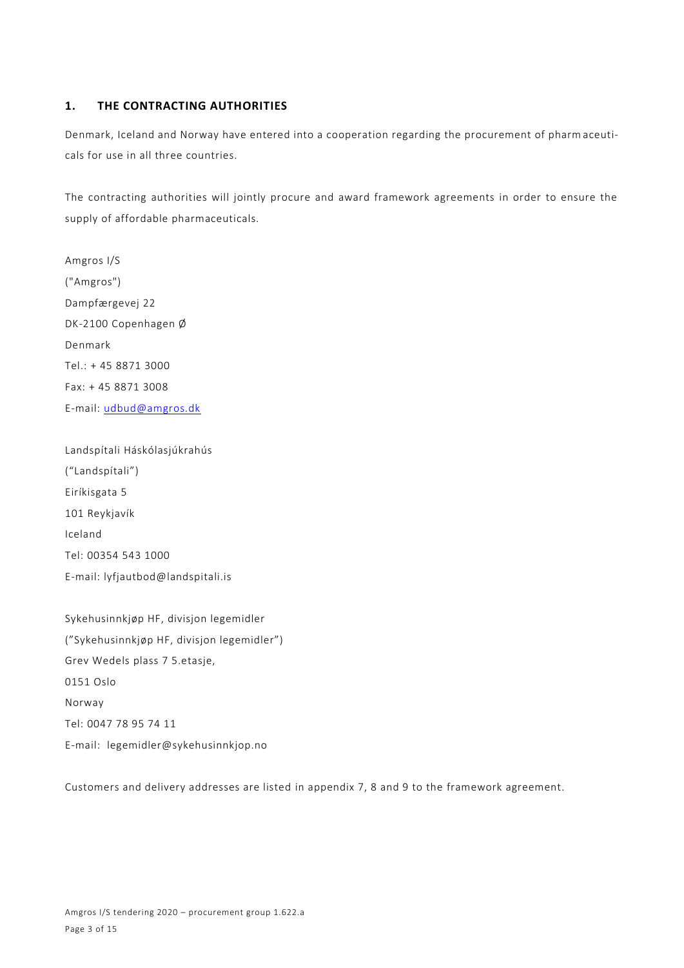# **1. THE CONTRACTING AUTHORITIES**

Denmark, Iceland and Norway have entered into a cooperation regarding the procurement of pharm aceuticals for use in all three countries.

The contracting authorities will jointly procure and award framework agreements in order to ensure the supply of affordable pharmaceuticals.

Amgros I/S ("Amgros") Dampfærgevej 22 DK-2100 Copenhagen Ø Denmark Tel.: + 45 8871 3000 Fax: + 45 8871 3008 E-mail: [udbud@amgros.dk](mailto:udbud@amgros.dk)

Landspítali Háskólasjúkrahús ("Landspítali") Eiríkisgata 5 101 Reykjavík Iceland Tel: 00354 543 1000 E-mail: [lyfjautbod@landspitali.is](mailto:lyfjautbod@landspitali.is)

Sykehusinnkjøp HF, divisjon legemidler ("Sykehusinnkjøp HF, divisjon legemidler") Grev Wedels plass 7 5.etasje, 0151 Oslo Norway Tel: 0047 78 95 74 11 E-mail: legemidler@sykehusinnkjop.no

Customers and delivery addresses are listed in appendix 7, 8 and 9 to the framework agreement.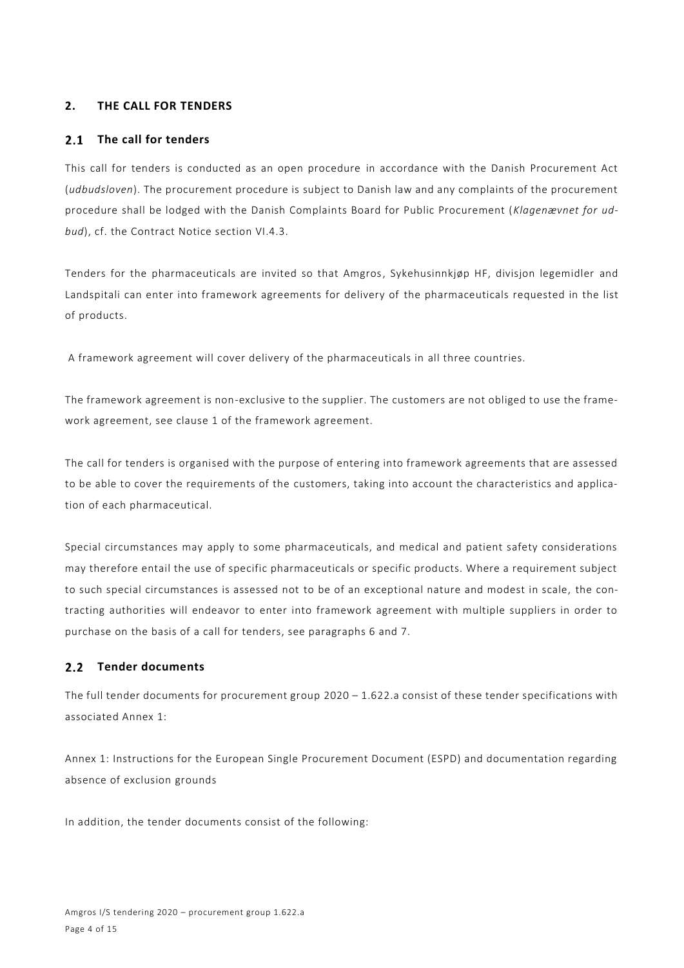# **2. THE CALL FOR TENDERS**

#### **The call for tenders**  $2.1$

This call for tenders is conducted as an open procedure in accordance with the Danish Procurement Act (*udbudsloven*). The procurement procedure is subject to Danish law and any complaints of the procurement procedure shall be lodged with the Danish Complaints Board for Public Procurement (*Klagenævnet for udbud*), cf. the Contract Notice section VI.4.3.

Tenders for the pharmaceuticals are invited so that Amgros, Sykehusinnkjøp HF, divisjon legemidler and Landspitali can enter into framework agreements for delivery of the pharmaceuticals requested in the list of products.

A framework agreement will cover delivery of the pharmaceuticals in all three countries.

The framework agreement is non-exclusive to the supplier. The customers are not obliged to use the framework agreement, see clause 1 of the framework agreement.

The call for tenders is organised with the purpose of entering into framework agreements that are assessed to be able to cover the requirements of the customers, taking into account the characteristics and application of each pharmaceutical.

Special circumstances may apply to some pharmaceuticals, and medical and patient safety considerations may therefore entail the use of specific pharmaceuticals or specific products. Where a requirement subject to such special circumstances is assessed not to be of an exceptional nature and modest in scale, the contracting authorities will endeavor to enter into framework agreement with multiple suppliers in order to purchase on the basis of a call for tenders, see paragraphs 6 and 7.

# 2.2 Tender documents

The full tender documents for procurement group 2020 – 1.622.a consist of these tender specifications with associated Annex 1:

Annex 1: Instructions for the European Single Procurement Document (ESPD) and documentation regarding absence of exclusion grounds

In addition, the tender documents consist of the following: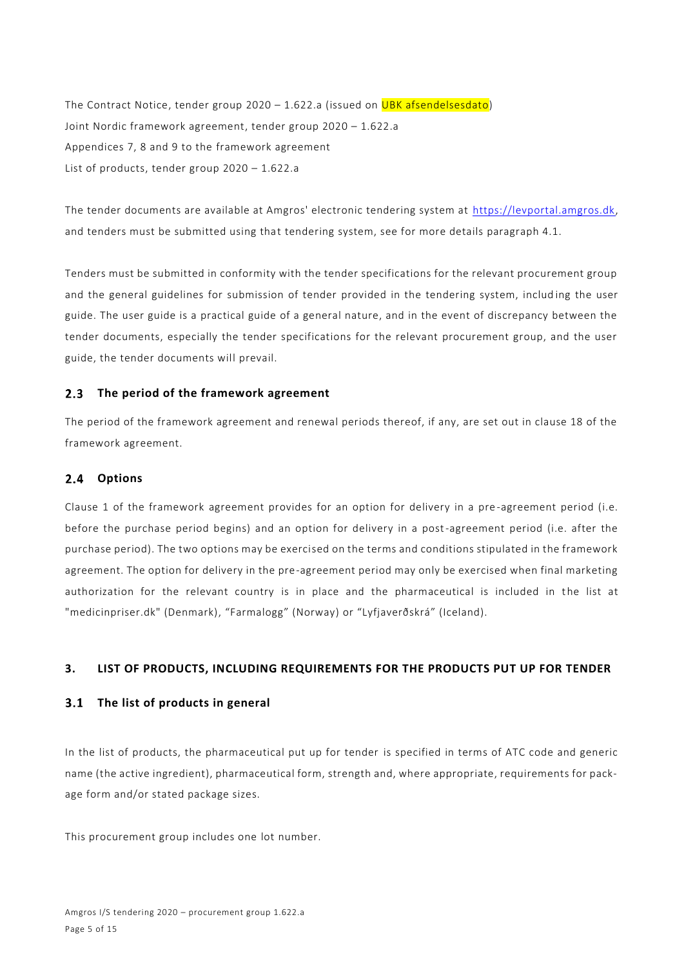The Contract Notice, tender group  $2020 - 1.622$ .a (issued on UBK afsendelsesdato) Joint Nordic framework agreement, tender group 2020 – 1.622.a Appendices 7, 8 and 9 to the framework agreement List of products, tender group 2020 – 1.622.a

The tender documents are available at Amgros' electronic tendering system at [https://levportal.amgros.dk,](https://levportal.amgros.dk/) and tenders must be submitted using that tendering system, see for more details paragraph 4.1.

Tenders must be submitted in conformity with the tender specifications for the relevant procurement group and the general guidelines for submission of tender provided in the tendering system, including the user guide. The user guide is a practical guide of a general nature, and in the event of discrepancy between the tender documents, especially the tender specifications for the relevant procurement group, and the user guide, the tender documents will prevail.

#### $2.3$ **The period of the framework agreement**

The period of the framework agreement and renewal periods thereof, if any, are set out in clause 18 of the framework agreement.

#### $2.4$ **Options**

Clause 1 of the framework agreement provides for an option for delivery in a pre -agreement period (i.e. before the purchase period begins) and an option for delivery in a post-agreement period (i.e. after the purchase period). The two options may be exercised on the terms and conditions stipulated in the framework agreement. The option for delivery in the pre-agreement period may only be exercised when final marketing authorization for the relevant country is in place and the pharmaceutical is included in the list at "medicinpriser.dk" (Denmark), "Farmalogg" (Norway) or "Lyfjaverðskrá" (Iceland).

# **3. LIST OF PRODUCTS, INCLUDING REQUIREMENTS FOR THE PRODUCTS PUT UP FOR TENDER**

# **The list of products in general**

In the list of products, the pharmaceutical put up for tender is specified in terms of ATC code and generic name (the active ingredient), pharmaceutical form, strength and, where appropriate, requirements for package form and/or stated package sizes.

This procurement group includes one lot number.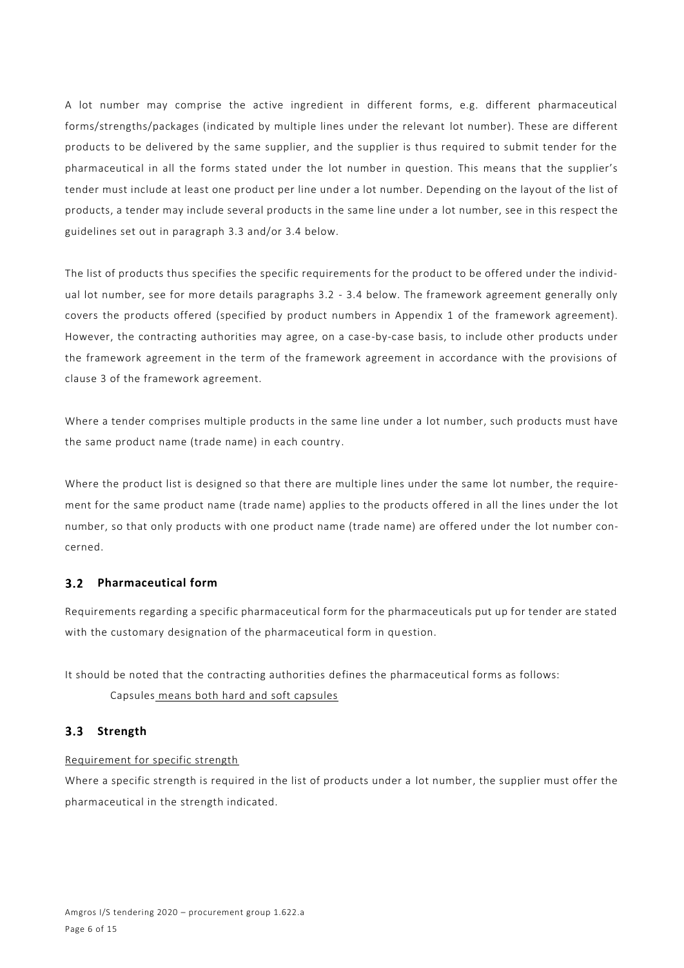A lot number may comprise the active ingredient in different forms, e.g. different pharmaceutical forms/strengths/packages (indicated by multiple lines under the relevant lot number). These are different products to be delivered by the same supplier, and the supplier is thus required to submit tender for the pharmaceutical in all the forms stated under the lot number in question. This means that the supplier's tender must include at least one product per line under a lot number. Depending on the layout of the list of products, a tender may include several products in the same line under a lot number, see in this respect the guidelines set out in paragraph 3.3 and/or 3.4 below.

The list of products thus specifies the specific requirements for the product to be offered under the individual lot number, see for more details paragraphs 3.2 - 3.4 below. The framework agreement generally only covers the products offered (specified by product numbers in Appendix 1 of the framework agreement). However, the contracting authorities may agree, on a case-by-case basis, to include other products under the framework agreement in the term of the framework agreement in accordance with the provisions of clause 3 of the framework agreement.

Where a tender comprises multiple products in the same line under a lot number, such products must have the same product name (trade name) in each country.

Where the product list is designed so that there are multiple lines under the same lot number, the requirement for the same product name (trade name) applies to the products offered in all the lines under the lot number, so that only products with one product name (trade name) are offered under the lot number concerned.

# **Pharmaceutical form**

Requirements regarding a specific pharmaceutical form for the pharmaceuticals put up for tender are stated with the customary designation of the pharmaceutical form in question.

It should be noted that the contracting authorities defines the pharmaceutical forms as follows:

Capsules means both hard and soft capsules

# **Strength**

# Requirement for specific strength

Where a specific strength is required in the list of products under a lot number, the supplier must offer the pharmaceutical in the strength indicated.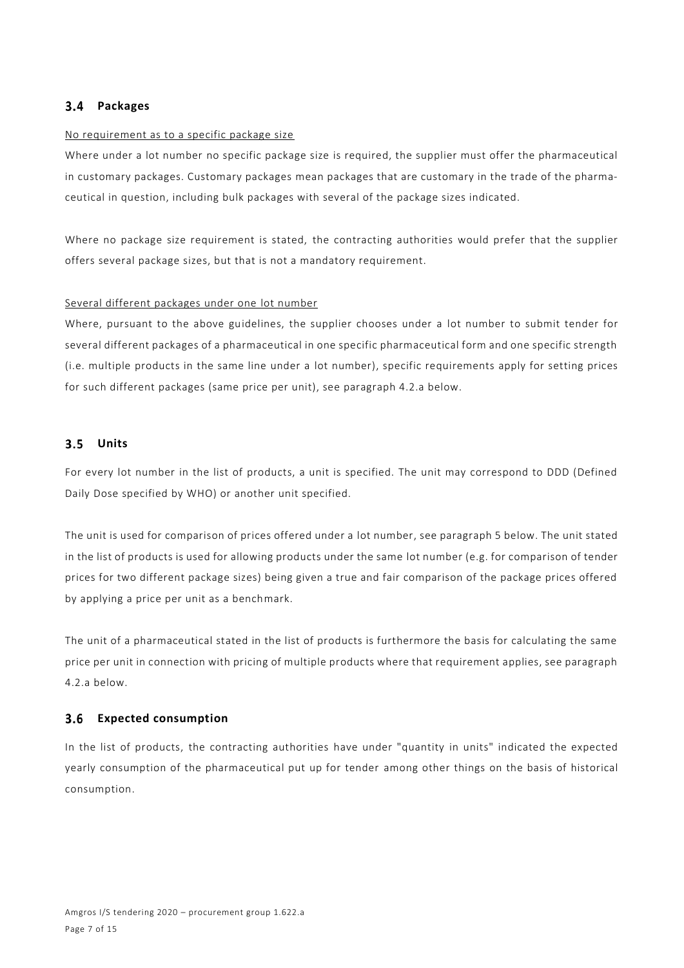#### **Packages**  $3.4$

#### No requirement as to a specific package size

Where under a lot number no specific package size is required, the supplier must offer the pharmaceutical in customary packages. Customary packages mean packages that are customary in the trade of the pharmaceutical in question, including bulk packages with several of the package sizes indicated.

Where no package size requirement is stated, the contracting authorities would prefer that the supplier offers several package sizes, but that is not a mandatory requirement.

#### Several different packages under one lot number

Where, pursuant to the above guidelines, the supplier chooses under a lot number to submit tender for several different packages of a pharmaceutical in one specific pharmaceutical form and one specific strength (i.e. multiple products in the same line under a lot number), specific requirements apply for setting prices for such different packages (same price per unit), see paragraph 4.2.a below.

#### $3.5$ **Units**

For every lot number in the list of products, a unit is specified. The unit may correspond to DDD (Defined Daily Dose specified by WHO) or another unit specified.

The unit is used for comparison of prices offered under a lot number, see paragraph 5 below. The unit stated in the list of products is used for allowing products under the same lot number (e.g. for comparison of tender prices for two different package sizes) being given a true and fair comparison of the package prices offered by applying a price per unit as a benchmark.

The unit of a pharmaceutical stated in the list of products is furthermore the basis for calculating the same price per unit in connection with pricing of multiple products where that requirement applies, see paragraph 4.2.a below.

#### **Expected consumption**  $3.6$

In the list of products, the contracting authorities have under "quantity in units" indicated the expected yearly consumption of the pharmaceutical put up for tender among other things on the basis of historical consumption.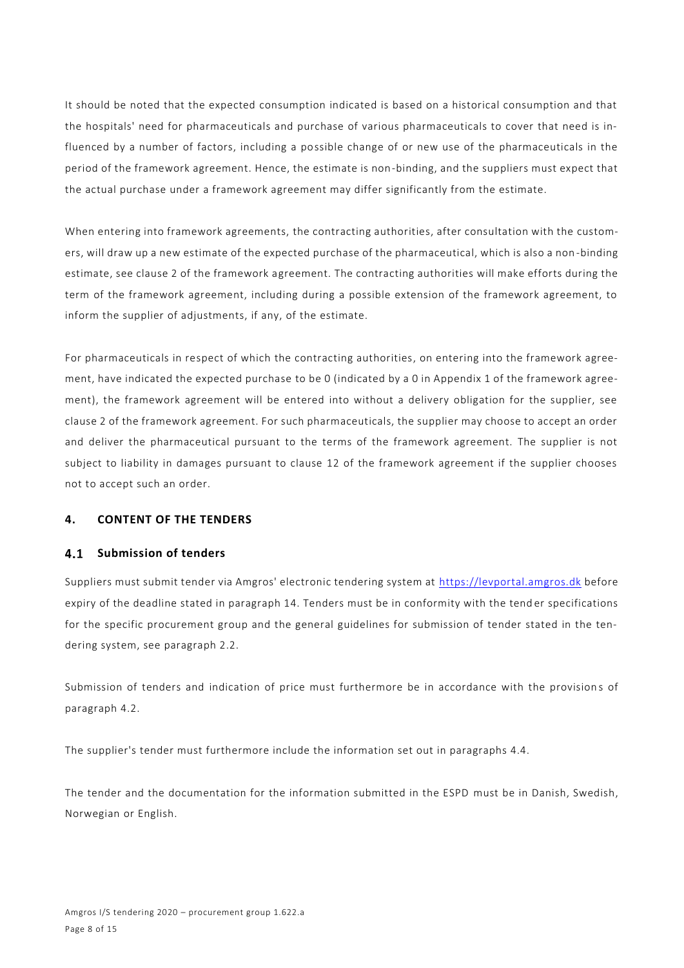It should be noted that the expected consumption indicated is based on a historical consumption and that the hospitals' need for pharmaceuticals and purchase of various pharmaceuticals to cover that need is influenced by a number of factors, including a possible change of or new use of the pharmaceuticals in the period of the framework agreement. Hence, the estimate is non-binding, and the suppliers must expect that the actual purchase under a framework agreement may differ significantly from the estimate.

When entering into framework agreements, the contracting authorities, after consultation with the customers, will draw up a new estimate of the expected purchase of the pharmaceutical, which is also a non -binding estimate, see clause 2 of the framework agreement. The contracting authorities will make efforts during the term of the framework agreement, including during a possible extension of the framework agreement, to inform the supplier of adjustments, if any, of the estimate.

For pharmaceuticals in respect of which the contracting authorities, on entering into the framework agreement, have indicated the expected purchase to be 0 (indicated by a 0 in Appendix 1 of the framework agreement), the framework agreement will be entered into without a delivery obligation for the supplier, see clause 2 of the framework agreement. For such pharmaceuticals, the supplier may choose to accept an order and deliver the pharmaceutical pursuant to the terms of the framework agreement. The supplier is not subject to liability in damages pursuant to clause 12 of the framework agreement if the supplier chooses not to accept such an order.

# **4. CONTENT OF THE TENDERS**

# **4.1 Submission of tenders**

Suppliers must submit tender via Amgros' electronic tendering system at [https://levportal.amgros.dk](https://levportal.amgros.dk/) before expiry of the deadline stated in paragraph 14. Tenders must be in conformity with the tend er specifications for the specific procurement group and the general guidelines for submission of tender stated in the tendering system, see paragraph 2.2.

Submission of tenders and indication of price must furthermore be in accordance with the provision s of paragraph 4.2.

The supplier's tender must furthermore include the information set out in paragraphs 4.4.

The tender and the documentation for the information submitted in the ESPD must be in Danish, Swedish, Norwegian or English.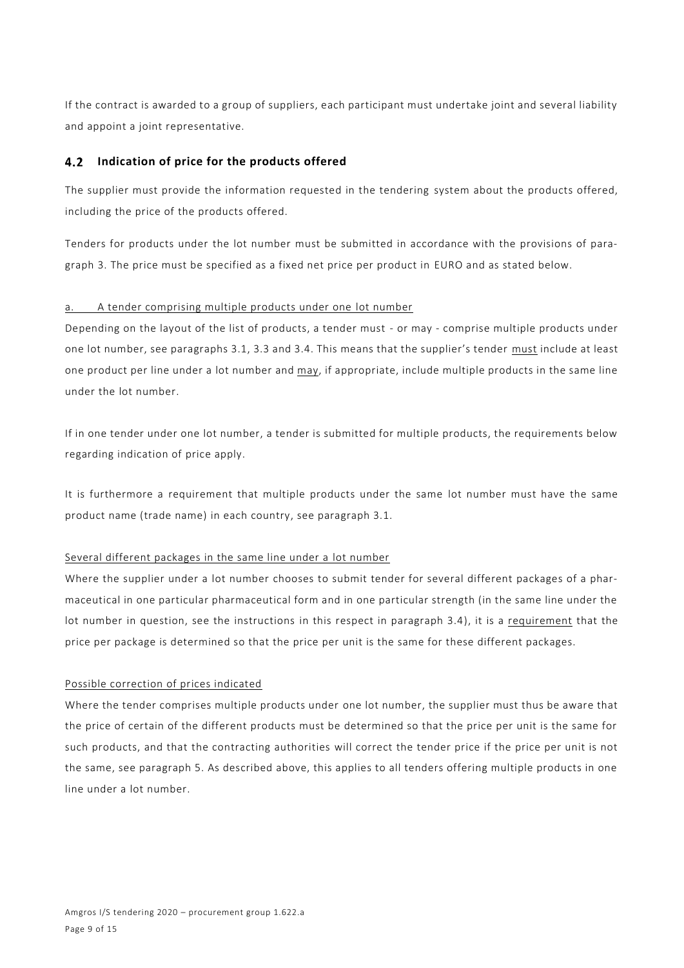If the contract is awarded to a group of suppliers, each participant must undertake joint and several liability and appoint a joint representative.

# **Indication of price for the products offered**

The supplier must provide the information requested in the tendering system about the products offered, including the price of the products offered.

Tenders for products under the lot number must be submitted in accordance with the provisions of paragraph 3. The price must be specified as a fixed net price per product in EURO and as stated below.

#### a. A tender comprising multiple products under one lot number

Depending on the layout of the list of products, a tender must - or may - comprise multiple products under one lot number, see paragraphs 3.1, 3.3 and 3.4. This means that the supplier's tender must include at least one product per line under a lot number and may, if appropriate, include multiple products in the same line under the lot number.

If in one tender under one lot number, a tender is submitted for multiple products, the requirements below regarding indication of price apply.

It is furthermore a requirement that multiple products under the same lot number must have the same product name (trade name) in each country, see paragraph 3.1.

#### Several different packages in the same line under a lot number

Where the supplier under a lot number chooses to submit tender for several different packages of a pharmaceutical in one particular pharmaceutical form and in one particular strength (in the same line under the lot number in question, see the instructions in this respect in paragraph 3.4), it is a requirement that the price per package is determined so that the price per unit is the same for these different packages.

#### Possible correction of prices indicated

Where the tender comprises multiple products under one lot number, the supplier must thus be aware that the price of certain of the different products must be determined so that the price per unit is the same for such products, and that the contracting authorities will correct the tender price if the price per unit is not the same, see paragraph 5. As described above, this applies to all tenders offering multiple products in one line under a lot number.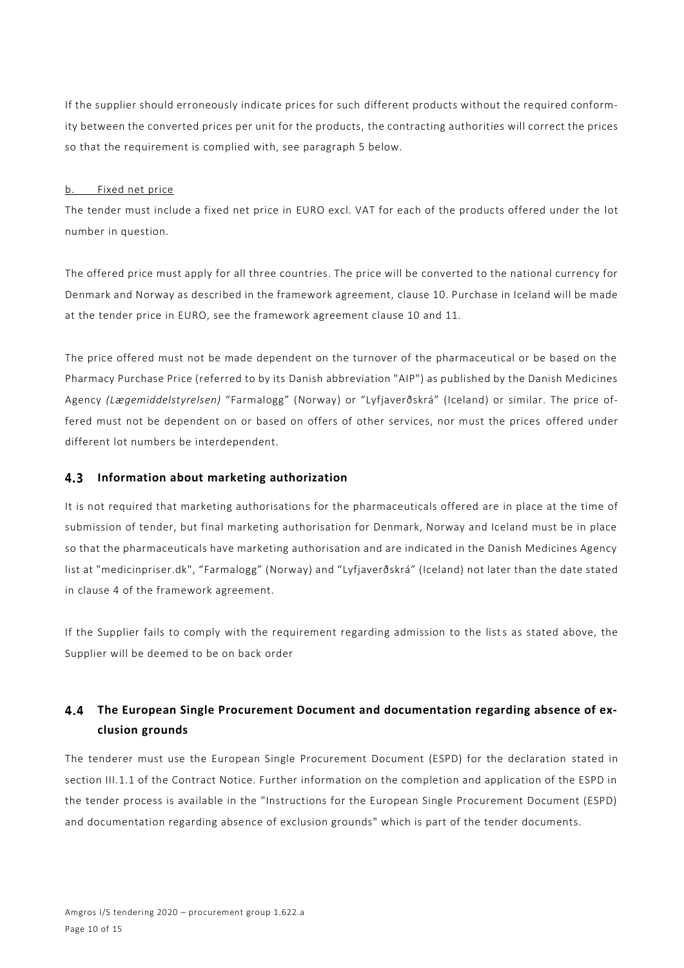If the supplier should erroneously indicate prices for such different products without the required conformity between the converted prices per unit for the products, the contracting authorities will correct the prices so that the requirement is complied with, see paragraph 5 below.

#### b. Fixed net price

The tender must include a fixed net price in EURO excl. VAT for each of the products offered under the lot number in question.

The offered price must apply for all three countries. The price will be converted to the national currency for Denmark and Norway as described in the framework agreement, clause 10. Purchase in Iceland will be made at the tender price in EURO, see the framework agreement clause 10 and 11.

The price offered must not be made dependent on the turnover of the pharmaceutical or be based on the Pharmacy Purchase Price (referred to by its Danish abbreviation "AIP") as published by the Danish Medicines Agency *(Lægemiddelstyrelsen)* "Farmalogg" (Norway) or "Lyfjaverðskrá" (Iceland) or similar. The price offered must not be dependent on or based on offers of other services, nor must the prices offered under different lot numbers be interdependent.

# **Information about marketing authorization**

It is not required that marketing authorisations for the pharmaceuticals offered are in place at the time of submission of tender, but final marketing authorisation for Denmark, Norway and Iceland must be in place so that the pharmaceuticals have marketing authorisation and are indicated in the Danish Medicines Agency list at "medicinpriser.dk", "Farmalogg" (Norway) and "Lyfjaverðskrá" (Iceland) not later than the date stated in clause 4 of the framework agreement.

If the Supplier fails to comply with the requirement regarding admission to the lists as stated above, the Supplier will be deemed to be on back order

#### $4.4$ **The European Single Procurement Document and documentation regarding absence of exclusion grounds**

The tenderer must use the European Single Procurement Document (ESPD) for the declaration stated in section III.1.1 of the Contract Notice. Further information on the completion and application of the ESPD in the tender process is available in the "Instructions for the European Single Procurement Document (ESPD) and documentation regarding absence of exclusion grounds" which is part of the tender documents.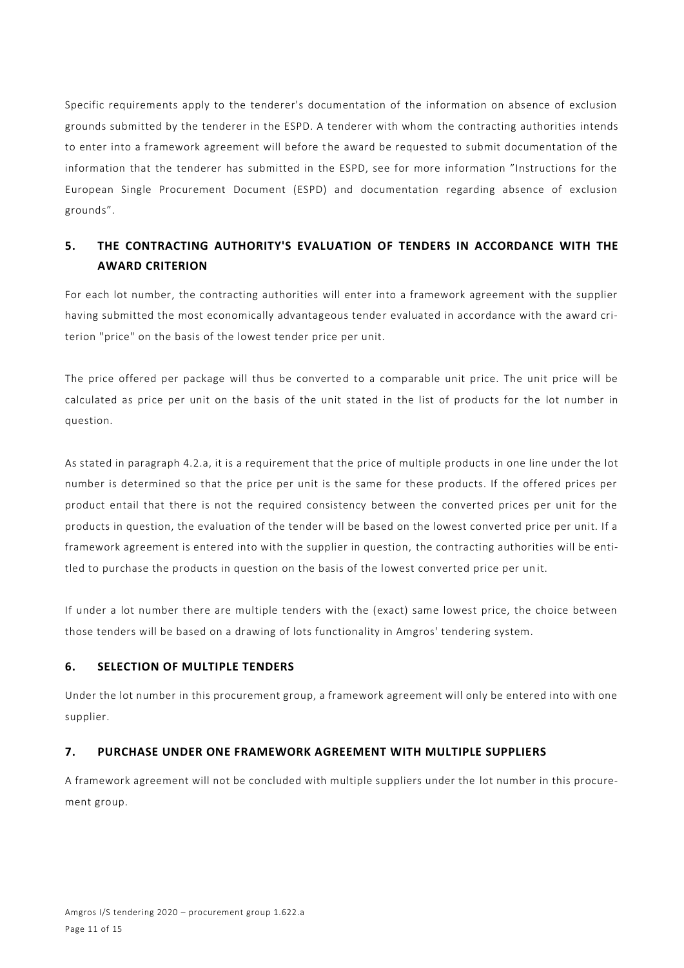Specific requirements apply to the tenderer's documentation of the information on absence of exclusion grounds submitted by the tenderer in the ESPD. A tenderer with whom the contracting authorities intends to enter into a framework agreement will before the award be requested to submit documentation of the information that the tenderer has submitted in the ESPD, see for more information "Instructions for the European Single Procurement Document (ESPD) and documentation regarding absence of exclusion grounds".

# **5. THE CONTRACTING AUTHORITY'S EVALUATION OF TENDERS IN ACCORDANCE WITH THE AWARD CRITERION**

For each lot number, the contracting authorities will enter into a framework agreement with the supplier having submitted the most economically advantageous tender evaluated in accordance with the award criterion "price" on the basis of the lowest tender price per unit.

The price offered per package will thus be converted to a comparable unit price. The unit price will be calculated as price per unit on the basis of the unit stated in the list of products for the lot number in question.

As stated in paragraph 4.2.a, it is a requirement that the price of multiple products in one line under the lot number is determined so that the price per unit is the same for these products. If the offered prices per product entail that there is not the required consistency between the converted prices per unit for the products in question, the evaluation of the tender will be based on the lowest converted price per unit. If a framework agreement is entered into with the supplier in question, the contracting authorities will be entitled to purchase the products in question on the basis of the lowest converted price per un it.

If under a lot number there are multiple tenders with the (exact) same lowest price, the choice between those tenders will be based on a drawing of lots functionality in Amgros' tendering system.

# **6. SELECTION OF MULTIPLE TENDERS**

Under the lot number in this procurement group, a framework agreement will only be entered into with one supplier.

# **7. PURCHASE UNDER ONE FRAMEWORK AGREEMENT WITH MULTIPLE SUPPLIERS**

A framework agreement will not be concluded with multiple suppliers under the lot number in this procurement group.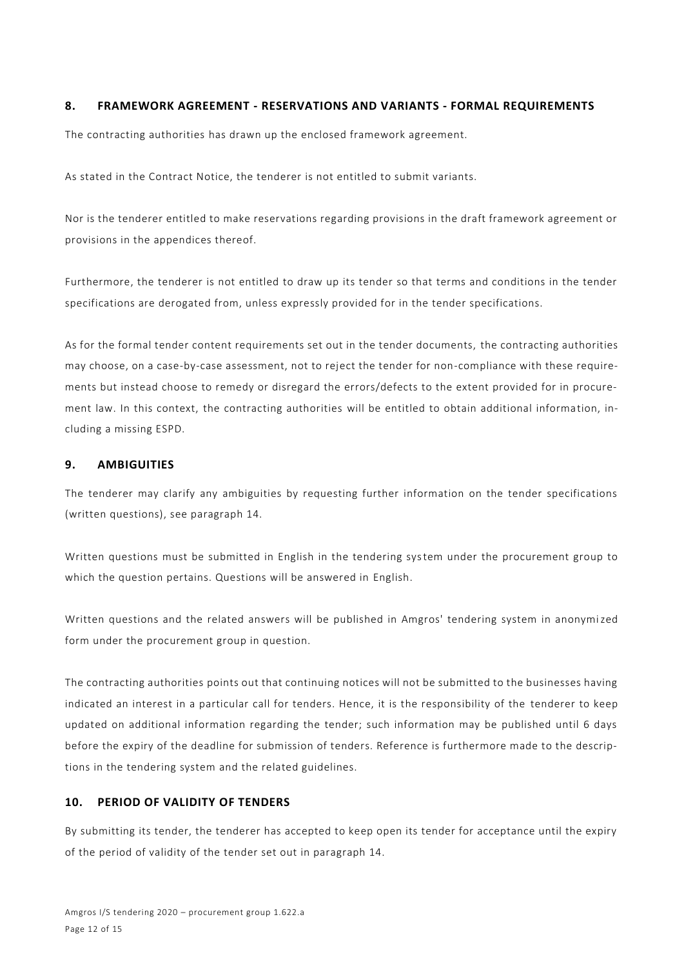#### **8. FRAMEWORK AGREEMENT - RESERVATIONS AND VARIANTS - FORMAL REQUIREMENTS**

The contracting authorities has drawn up the enclosed framework agreement.

As stated in the Contract Notice, the tenderer is not entitled to submit variants.

Nor is the tenderer entitled to make reservations regarding provisions in the draft framework agreement or provisions in the appendices thereof.

Furthermore, the tenderer is not entitled to draw up its tender so that terms and conditions in the tender specifications are derogated from, unless expressly provided for in the tender specifications.

As for the formal tender content requirements set out in the tender documents, the contracting authorities may choose, on a case-by-case assessment, not to reject the tender for non-compliance with these requirements but instead choose to remedy or disregard the errors/defects to the extent provided for in procurement law. In this context, the contracting authorities will be entitled to obtain additional information, including a missing ESPD.

#### **9. AMBIGUITIES**

The tenderer may clarify any ambiguities by requesting further information on the tender specifications (written questions), see paragraph 14.

Written questions must be submitted in English in the tendering system under the procurement group to which the question pertains. Questions will be answered in English.

Written questions and the related answers will be published in Amgros' tendering system in anonymized form under the procurement group in question.

The contracting authorities points out that continuing notices will not be submitted to the businesses having indicated an interest in a particular call for tenders. Hence, it is the responsibility of the tenderer to keep updated on additional information regarding the tender; such information may be published until 6 days before the expiry of the deadline for submission of tenders. Reference is furthermore made to the descriptions in the tendering system and the related guidelines.

# **10. PERIOD OF VALIDITY OF TENDERS**

By submitting its tender, the tenderer has accepted to keep open its tender for acceptance until the expiry of the period of validity of the tender set out in paragraph 14.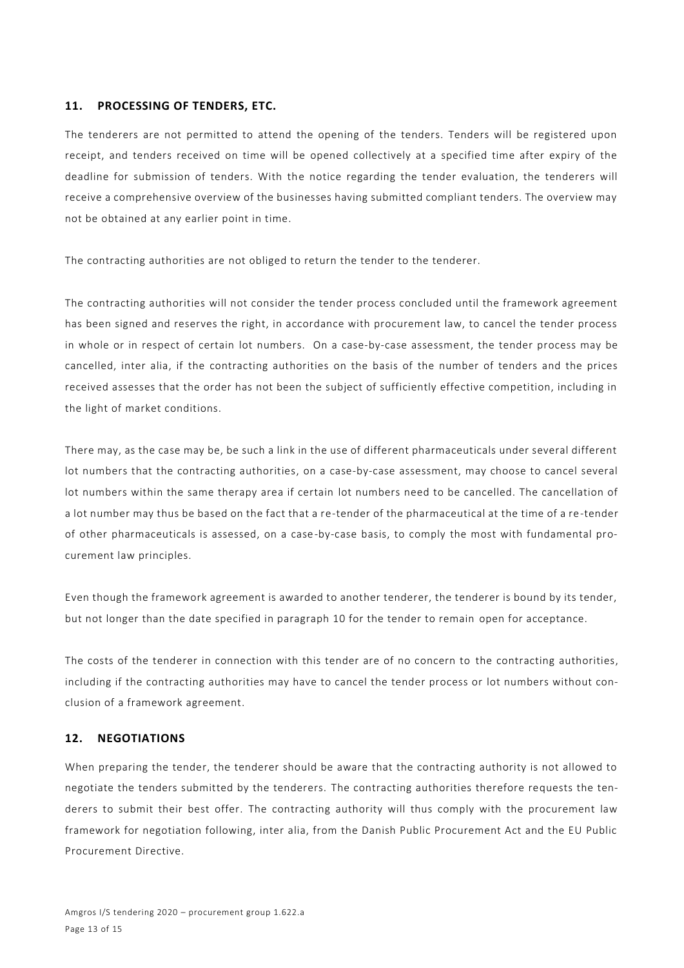#### **11. PROCESSING OF TENDERS, ETC.**

The tenderers are not permitted to attend the opening of the tenders. Tenders will be registered upon receipt, and tenders received on time will be opened collectively at a specified time after expiry of the deadline for submission of tenders. With the notice regarding the tender evaluation, the tenderers will receive a comprehensive overview of the businesses having submitted compliant tenders. The overview may not be obtained at any earlier point in time.

The contracting authorities are not obliged to return the tender to the tenderer.

The contracting authorities will not consider the tender process concluded until the framework agreement has been signed and reserves the right, in accordance with procurement law, to cancel the tender process in whole or in respect of certain lot numbers. On a case-by-case assessment, the tender process may be cancelled, inter alia, if the contracting authorities on the basis of the number of tenders and the prices received assesses that the order has not been the subject of sufficiently effective competition, including in the light of market conditions.

There may, as the case may be, be such a link in the use of different pharmaceuticals under several different lot numbers that the contracting authorities, on a case-by-case assessment, may choose to cancel several lot numbers within the same therapy area if certain lot numbers need to be cancelled. The cancellation of a lot number may thus be based on the fact that a re-tender of the pharmaceutical at the time of a re-tender of other pharmaceuticals is assessed, on a case-by-case basis, to comply the most with fundamental procurement law principles.

Even though the framework agreement is awarded to another tenderer, the tenderer is bound by its tender, but not longer than the date specified in paragraph 10 for the tender to remain open for acceptance.

The costs of the tenderer in connection with this tender are of no concern to the contracting authorities, including if the contracting authorities may have to cancel the tender process or lot numbers without conclusion of a framework agreement.

#### **12. NEGOTIATIONS**

When preparing the tender, the tenderer should be aware that the contracting authority is not allowed to negotiate the tenders submitted by the tenderers. The contracting authorities therefore requests the tenderers to submit their best offer. The contracting authority will thus comply with the procurement law framework for negotiation following, inter alia, from the Danish Public Procurement Act and the EU Public Procurement Directive.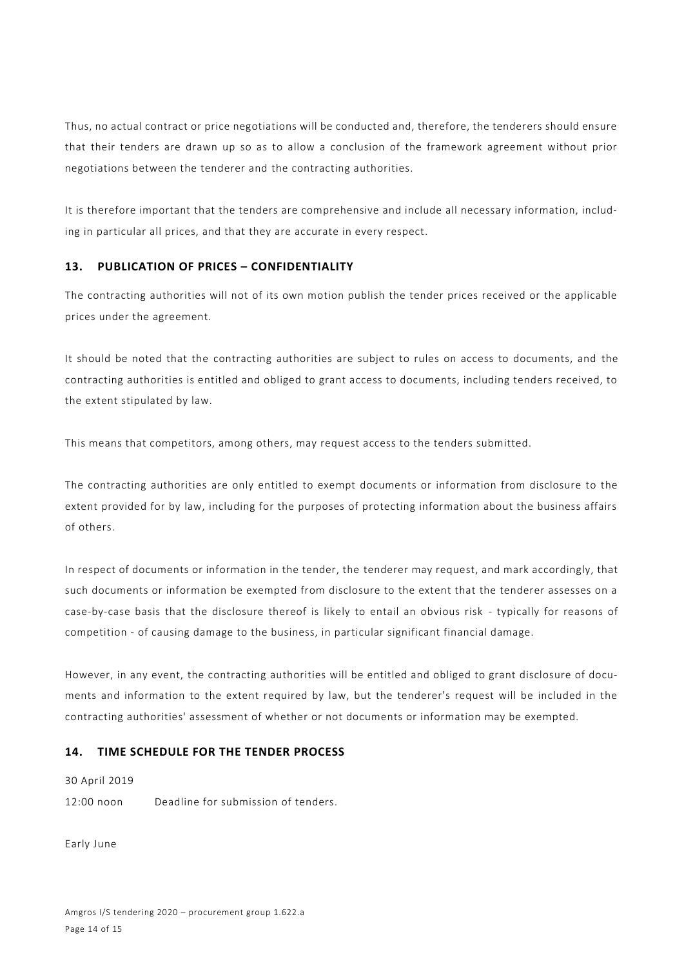Thus, no actual contract or price negotiations will be conducted and, therefore, the tenderers should ensure that their tenders are drawn up so as to allow a conclusion of the framework agreement without prior negotiations between the tenderer and the contracting authorities.

It is therefore important that the tenders are comprehensive and include all necessary information, including in particular all prices, and that they are accurate in every respect.

#### **13. PUBLICATION OF PRICES – CONFIDENTIALITY**

The contracting authorities will not of its own motion publish the tender prices received or the applicable prices under the agreement.

It should be noted that the contracting authorities are subject to rules on access to documents, and the contracting authorities is entitled and obliged to grant access to documents, including tenders received, to the extent stipulated by law.

This means that competitors, among others, may request access to the tenders submitted.

The contracting authorities are only entitled to exempt documents or information from disclosure to the extent provided for by law, including for the purposes of protecting information about the business affairs of others.

In respect of documents or information in the tender, the tenderer may request, and mark accordingly, that such documents or information be exempted from disclosure to the extent that the tenderer assesses on a case-by-case basis that the disclosure thereof is likely to entail an obvious risk - typically for reasons of competition - of causing damage to the business, in particular significant financial damage.

However, in any event, the contracting authorities will be entitled and obliged to grant disclosure of documents and information to the extent required by law, but the tenderer's request will be included in the contracting authorities' assessment of whether or not documents or information may be exempted.

#### **14. TIME SCHEDULE FOR THE TENDER PROCESS**

30 April 2019

12:00 noon Deadline for submission of tenders.

Early June